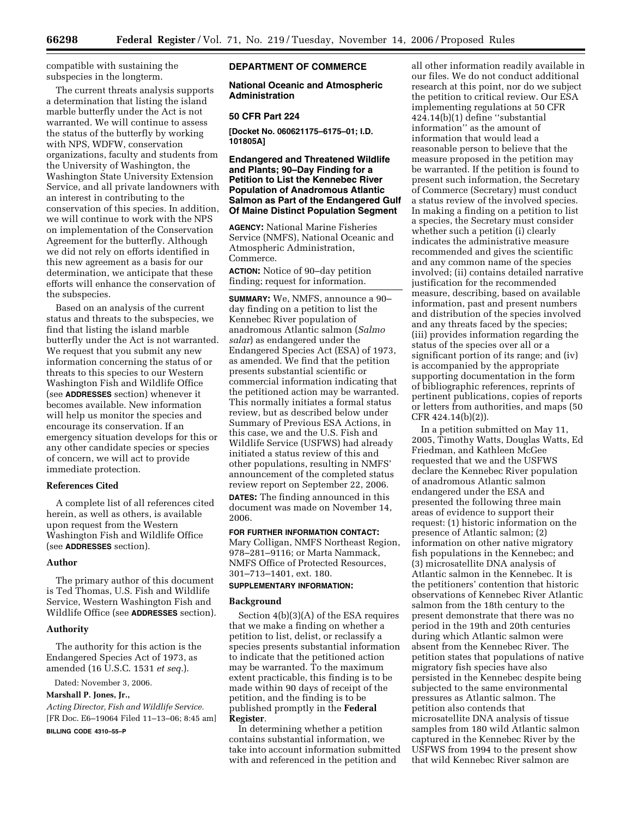**66298 Federal Register** / Vol. 71, No. 219 / Tuesday, November 14, 2006 / Proposed Rules

compatible with sustaining the subspecies in the longterm.

The current threats analysis supports a determination that listing the island marble butterfly under the Act is not warranted. We will continue to assess the status of the butterfly by working with NPS, WDFW, conservation organizations, faculty and students from the University of Washington, the Washington State University Extension Service, and all private landowners with an interest in contributing to the conservation of this species. In addition, we will continue to work with the NPS on implementation of the Conservation Agreement for the butterfly. Although we did not rely on efforts identified in this new agreement as a basis for our determination, we anticipate that these efforts will enhance the conservation of the subspecies.

Based on an analysis of the current status and threats to the subspecies, we find that listing the island marble butterfly under the Act is not warranted. We request that you submit any new information concerning the status of or threats to this species to our Western Washington Fish and Wildlife Office (see **ADDRESSES** section) whenever it becomes available. New information will help us monitor the species and encourage its conservation. If an emergency situation develops for this or any other candidate species or species of concern, we will act to provide immediate protection.

## **References Cited**

A complete list of all references cited herein, as well as others, is available upon request from the Western Washington Fish and Wildlife Office (see **ADDRESSES** section).

# **Author**

The primary author of this document is Ted Thomas, U.S. Fish and Wildlife Service, Western Washington Fish and Wildlife Office (see **ADDRESSES** section).

#### **Authority**

The authority for this action is the Endangered Species Act of 1973, as amended (16 U.S.C. 1531 *et seq.*).

Dated: November 3, 2006.

# **Marshall P. Jones, Jr.,**

*Acting Director, Fish and Wildlife Service.*  [FR Doc. E6–19064 Filed 11–13–06; 8:45 am] **BILLING CODE 4310–55–P** 

# **DEPARTMENT OF COMMERCE**

**National Oceanic and Atmospheric Administration** 

# **50 CFR Part 224**

**[Docket No. 060621175–6175–01; I.D. 101805A]** 

# **Endangered and Threatened Wildlife and Plants; 90–Day Finding for a Petition to List the Kennebec River Population of Anadromous Atlantic Salmon as Part of the Endangered Gulf Of Maine Distinct Population Segment**

**AGENCY:** National Marine Fisheries Service (NMFS), National Oceanic and Atmospheric Administration, Commerce.

**ACTION:** Notice of 90–day petition finding; request for information.

**SUMMARY:** We, NMFS, announce a 90– day finding on a petition to list the Kennebec River population of anadromous Atlantic salmon (*Salmo salar*) as endangered under the Endangered Species Act (ESA) of 1973, as amended. We find that the petition presents substantial scientific or commercial information indicating that the petitioned action may be warranted. This normally initiates a formal status review, but as described below under Summary of Previous ESA Actions, in this case, we and the U.S. Fish and Wildlife Service (USFWS) had already initiated a status review of this and other populations, resulting in NMFS' announcement of the completed status review report on September 22, 2006. **DATES:** The finding announced in this

document was made on November 14, 2006.

**FOR FURTHER INFORMATION CONTACT:**  Mary Colligan, NMFS Northeast Region, 978–281–9116; or Marta Nammack, NMFS Office of Protected Resources, 301–713–1401, ext. 180.

# **SUPPLEMENTARY INFORMATION:**

#### **Background**

Section 4(b)(3)(A) of the ESA requires that we make a finding on whether a petition to list, delist, or reclassify a species presents substantial information to indicate that the petitioned action may be warranted. To the maximum extent practicable, this finding is to be made within 90 days of receipt of the petition, and the finding is to be published promptly in the **Federal Register**.

In determining whether a petition contains substantial information, we take into account information submitted with and referenced in the petition and

all other information readily available in our files. We do not conduct additional research at this point, nor do we subject the petition to critical review. Our ESA implementing regulations at 50 CFR 424.14(b)(1) define ''substantial information'' as the amount of information that would lead a reasonable person to believe that the measure proposed in the petition may be warranted. If the petition is found to present such information, the Secretary of Commerce (Secretary) must conduct a status review of the involved species. In making a finding on a petition to list a species, the Secretary must consider whether such a petition (i) clearly indicates the administrative measure recommended and gives the scientific and any common name of the species involved; (ii) contains detailed narrative justification for the recommended measure, describing, based on available information, past and present numbers and distribution of the species involved and any threats faced by the species; (iii) provides information regarding the status of the species over all or a significant portion of its range; and (iv) is accompanied by the appropriate supporting documentation in the form of bibliographic references, reprints of pertinent publications, copies of reports or letters from authorities, and maps (50 CFR 424.14(b)(2)).

In a petition submitted on May 11, 2005, Timothy Watts, Douglas Watts, Ed Friedman, and Kathleen McGee requested that we and the USFWS declare the Kennebec River population of anadromous Atlantic salmon endangered under the ESA and presented the following three main areas of evidence to support their request: (1) historic information on the presence of Atlantic salmon; (2) information on other native migratory fish populations in the Kennebec; and (3) microsatellite DNA analysis of Atlantic salmon in the Kennebec. It is the petitioners' contention that historic observations of Kennebec River Atlantic salmon from the 18th century to the present demonstrate that there was no period in the 19th and 20th centuries during which Atlantic salmon were absent from the Kennebec River. The petition states that populations of native migratory fish species have also persisted in the Kennebec despite being subjected to the same environmental pressures as Atlantic salmon. The petition also contends that microsatellite DNA analysis of tissue samples from 180 wild Atlantic salmon captured in the Kennebec River by the USFWS from 1994 to the present show that wild Kennebec River salmon are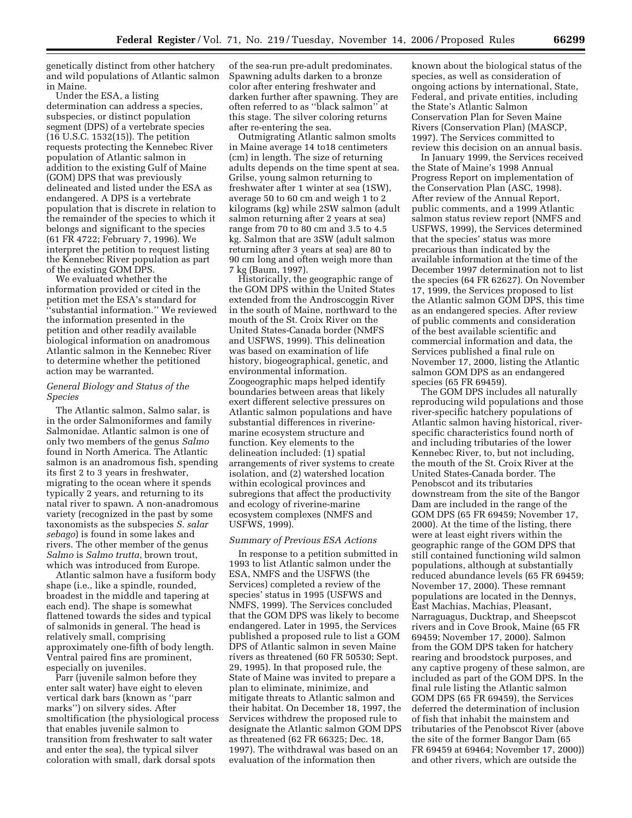genetically distinct from other hatchery and wild populations of Atlantic salmon in Maine.

Under the ESA, a listing determination can address a species, subspecies, or distinct population segment (DPS) of a vertebrate species (16 U.S.C. 1532(15)). The petition requests protecting the Kennebec River population of Atlantic salmon in addition to the existing Gulf of Maine (GOM) DPS that was previously delineated and listed under the ESA as endangered. A DPS is a vertebrate population that is discrete in relation to the remainder of the species to which it belongs and significant to the species (61 FR 4722; February 7, 1996). We interpret the petition to request listing the Kennebec River population as part of the existing GOM DPS.

We evaluated whether the information provided or cited in the petition met the ESA's standard for ''substantial information.'' We reviewed the information presented in the petition and other readily available biological information on anadromous Atlantic salmon in the Kennebec River to determine whether the petitioned action may be warranted.

# *General Biology and Status of the Species*

The Atlantic salmon, Salmo salar, is in the order Salmoniformes and family Salmonidae. Atlantic salmon is one of only two members of the genus *Salmo*  found in North America. The Atlantic salmon is an anadromous fish, spending its first 2 to 3 years in freshwater, migrating to the ocean where it spends typically 2 years, and returning to its natal river to spawn. A non-anadromous variety (recognized in the past by some taxonomists as the subspecies *S. salar sebago*) is found in some lakes and rivers. The other member of the genus *Salmo* is *Salmo trutta*, brown trout, which was introduced from Europe.

Atlantic salmon have a fusiform body shape (i.e., like a spindle, rounded, broadest in the middle and tapering at each end). The shape is somewhat flattened towards the sides and typical of salmonids in general. The head is relatively small, comprising approximately one-fifth of body length. Ventral paired fins are prominent, especially on juveniles.

Parr (juvenile salmon before they enter salt water) have eight to eleven vertical dark bars (known as ''parr marks'') on silvery sides. After smoltification (the physiological process that enables juvenile salmon to transition from freshwater to salt water and enter the sea), the typical silver coloration with small, dark dorsal spots

of the sea-run pre-adult predominates. Spawning adults darken to a bronze color after entering freshwater and darken further after spawning. They are often referred to as ''black salmon'' at this stage. The silver coloring returns after re-entering the sea.

Outmigrating Atlantic salmon smolts in Maine average 14 to18 centimeters (cm) in length. The size of returning adults depends on the time spent at sea. Grilse, young salmon returning to freshwater after 1 winter at sea (1SW), average 50 to 60 cm and weigh 1 to 2 kilograms (kg) while 2SW salmon (adult salmon returning after 2 years at sea) range from 70 to 80 cm and 3.5 to 4.5 kg. Salmon that are 3SW (adult salmon returning after 3 years at sea) are 80 to 90 cm long and often weigh more than 7 kg (Baum, 1997).

Historically, the geographic range of the GOM DPS within the United States extended from the Androscoggin River in the south of Maine, northward to the mouth of the St. Croix River on the United States-Canada border (NMFS and USFWS, 1999). This delineation was based on examination of life history, biogeographical, genetic, and environmental information. Zoogeographic maps helped identify boundaries between areas that likely exert different selective pressures on Atlantic salmon populations and have substantial differences in riverinemarine ecosystem structure and function. Key elements to the delineation included: (1) spatial arrangements of river systems to create isolation, and (2) watershed location within ecological provinces and subregions that affect the productivity and ecology of riverine-marine ecosystem complexes (NMFS and USFWS, 1999).

#### *Summary of Previous ESA Actions*

In response to a petition submitted in 1993 to list Atlantic salmon under the ESA, NMFS and the USFWS (the Services) completed a review of the species' status in 1995 (USFWS and NMFS, 1999). The Services concluded that the GOM DPS was likely to become endangered. Later in 1995, the Services published a proposed rule to list a GOM DPS of Atlantic salmon in seven Maine rivers as threatened (60 FR 50530; Sept. 29, 1995). In that proposed rule, the State of Maine was invited to prepare a plan to eliminate, minimize, and mitigate threats to Atlantic salmon and their habitat. On December 18, 1997, the Services withdrew the proposed rule to designate the Atlantic salmon GOM DPS as threatened (62 FR 66325; Dec. 18, 1997). The withdrawal was based on an evaluation of the information then

known about the biological status of the species, as well as consideration of ongoing actions by international, State, Federal, and private entities, including the State's Atlantic Salmon Conservation Plan for Seven Maine Rivers (Conservation Plan) (MASCP, 1997). The Services committed to review this decision on an annual basis.

In January 1999, the Services received the State of Maine's 1998 Annual Progress Report on implementation of the Conservation Plan (ASC, 1998). After review of the Annual Report, public comments, and a 1999 Atlantic salmon status review report (NMFS and USFWS, 1999), the Services determined that the species' status was more precarious than indicated by the available information at the time of the December 1997 determination not to list the species (64 FR 62627). On November 17, 1999, the Services proposed to list the Atlantic salmon GOM DPS, this time as an endangered species. After review of public comments and consideration of the best available scientific and commercial information and data, the Services published a final rule on November 17, 2000, listing the Atlantic salmon GOM DPS as an endangered species (65 FR 69459).

The GOM DPS includes all naturally reproducing wild populations and those river-specific hatchery populations of Atlantic salmon having historical, riverspecific characteristics found north of and including tributaries of the lower Kennebec River, to, but not including, the mouth of the St. Croix River at the United States-Canada border. The Penobscot and its tributaries downstream from the site of the Bangor Dam are included in the range of the GOM DPS (65 FR 69459; November 17, 2000). At the time of the listing, there were at least eight rivers within the geographic range of the GOM DPS that still contained functioning wild salmon populations, although at substantially reduced abundance levels (65 FR 69459; November 17, 2000). These remnant populations are located in the Dennys, East Machias, Machias, Pleasant, Narraguagus, Ducktrap, and Sheepscot rivers and in Cove Brook, Maine (65 FR 69459; November 17, 2000). Salmon from the GOM DPS taken for hatchery rearing and broodstock purposes, and any captive progeny of these salmon, are included as part of the GOM DPS. In the final rule listing the Atlantic salmon GOM DPS (65 FR 69459), the Services deferred the determination of inclusion of fish that inhabit the mainstem and tributaries of the Penobscot River (above the site of the former Bangor Dam (65 FR 69459 at 69464; November 17, 2000)) and other rivers, which are outside the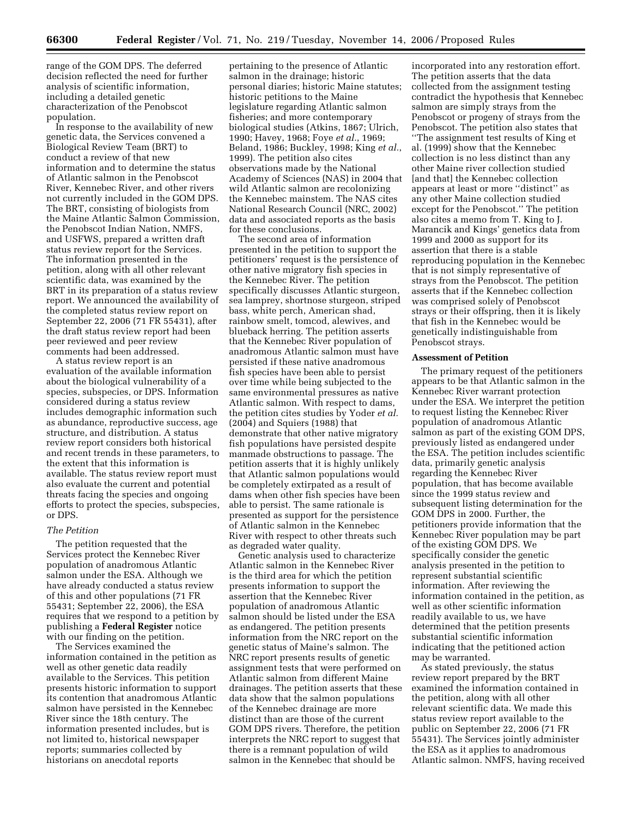range of the GOM DPS. The deferred decision reflected the need for further analysis of scientific information, including a detailed genetic characterization of the Penobscot population.

In response to the availability of new genetic data, the Services convened a Biological Review Team (BRT) to conduct a review of that new information and to determine the status of Atlantic salmon in the Penobscot River, Kennebec River, and other rivers not currently included in the GOM DPS. The BRT, consisting of biologists from the Maine Atlantic Salmon Commission, the Penobscot Indian Nation, NMFS, and USFWS, prepared a written draft status review report for the Services. The information presented in the petition, along with all other relevant scientific data, was examined by the BRT in its preparation of a status review report. We announced the availability of the completed status review report on September 22, 2006 (71 FR 55431), after the draft status review report had been peer reviewed and peer review comments had been addressed.

A status review report is an evaluation of the available information about the biological vulnerability of a species, subspecies, or DPS. Information considered during a status review includes demographic information such as abundance, reproductive success, age structure, and distribution. A status review report considers both historical and recent trends in these parameters, to the extent that this information is available. The status review report must also evaluate the current and potential threats facing the species and ongoing efforts to protect the species, subspecies, or DPS.

## *The Petition*

The petition requested that the Services protect the Kennebec River population of anadromous Atlantic salmon under the ESA. Although we have already conducted a status review of this and other populations (71 FR 55431; September 22, 2006), the ESA requires that we respond to a petition by publishing a **Federal Register** notice with our finding on the petition.

The Services examined the information contained in the petition as well as other genetic data readily available to the Services. This petition presents historic information to support its contention that anadromous Atlantic salmon have persisted in the Kennebec River since the 18th century. The information presented includes, but is not limited to, historical newspaper reports; summaries collected by historians on anecdotal reports

pertaining to the presence of Atlantic salmon in the drainage; historic personal diaries; historic Maine statutes; historic petitions to the Maine legislature regarding Atlantic salmon fisheries; and more contemporary biological studies (Atkins, 1867; Ulrich, 1990; Havey, 1968; Foye *et al.*, 1969; Beland, 1986; Buckley, 1998; King *et al.*, 1999). The petition also cites observations made by the National Academy of Sciences (NAS) in 2004 that wild Atlantic salmon are recolonizing the Kennebec mainstem. The NAS cites National Research Council (NRC, 2002) data and associated reports as the basis for these conclusions.

The second area of information presented in the petition to support the petitioners' request is the persistence of other native migratory fish species in the Kennebec River. The petition specifically discusses Atlantic sturgeon, sea lamprey, shortnose sturgeon, striped bass, white perch, American shad, rainbow smelt, tomcod, alewives, and blueback herring. The petition asserts that the Kennebec River population of anadromous Atlantic salmon must have persisted if these native anadromous fish species have been able to persist over time while being subjected to the same environmental pressures as native Atlantic salmon. With respect to dams, the petition cites studies by Yoder *et al.*  (2004) and Squiers (1988) that demonstrate that other native migratory fish populations have persisted despite manmade obstructions to passage. The petition asserts that it is highly unlikely that Atlantic salmon populations would be completely extirpated as a result of dams when other fish species have been able to persist. The same rationale is presented as support for the persistence of Atlantic salmon in the Kennebec River with respect to other threats such as degraded water quality.

Genetic analysis used to characterize Atlantic salmon in the Kennebec River is the third area for which the petition presents information to support the assertion that the Kennebec River population of anadromous Atlantic salmon should be listed under the ESA as endangered. The petition presents information from the NRC report on the genetic status of Maine's salmon. The NRC report presents results of genetic assignment tests that were performed on Atlantic salmon from different Maine drainages. The petition asserts that these data show that the salmon populations of the Kennebec drainage are more distinct than are those of the current GOM DPS rivers. Therefore, the petition interprets the NRC report to suggest that there is a remnant population of wild salmon in the Kennebec that should be

incorporated into any restoration effort. The petition asserts that the data collected from the assignment testing contradict the hypothesis that Kennebec salmon are simply strays from the Penobscot or progeny of strays from the Penobscot. The petition also states that ''The assignment test results of King et al. (1999) show that the Kennebec collection is no less distinct than any other Maine river collection studied [and that] the Kennebec collection appears at least or more ''distinct'' as any other Maine collection studied except for the Penobscot.'' The petition also cites a memo from T. King to J. Marancik and Kings' genetics data from 1999 and 2000 as support for its assertion that there is a stable reproducing population in the Kennebec that is not simply representative of strays from the Penobscot. The petition asserts that if the Kennebec collection was comprised solely of Penobscot strays or their offspring, then it is likely that fish in the Kennebec would be genetically indistinguishable from Penobscot strays.

#### **Assessment of Petition**

The primary request of the petitioners appears to be that Atlantic salmon in the Kennebec River warrant protection under the ESA. We interpret the petition to request listing the Kennebec River population of anadromous Atlantic salmon as part of the existing GOM DPS, previously listed as endangered under the ESA. The petition includes scientific data, primarily genetic analysis regarding the Kennebec River population, that has become available since the 1999 status review and subsequent listing determination for the GOM DPS in 2000. Further, the petitioners provide information that the Kennebec River population may be part of the existing GOM DPS. We specifically consider the genetic analysis presented in the petition to represent substantial scientific information. After reviewing the information contained in the petition, as well as other scientific information readily available to us, we have determined that the petition presents substantial scientific information indicating that the petitioned action may be warranted.

As stated previously, the status review report prepared by the BRT examined the information contained in the petition, along with all other relevant scientific data. We made this status review report available to the public on September 22, 2006 (71 FR 55431). The Services jointly administer the ESA as it applies to anadromous Atlantic salmon. NMFS, having received